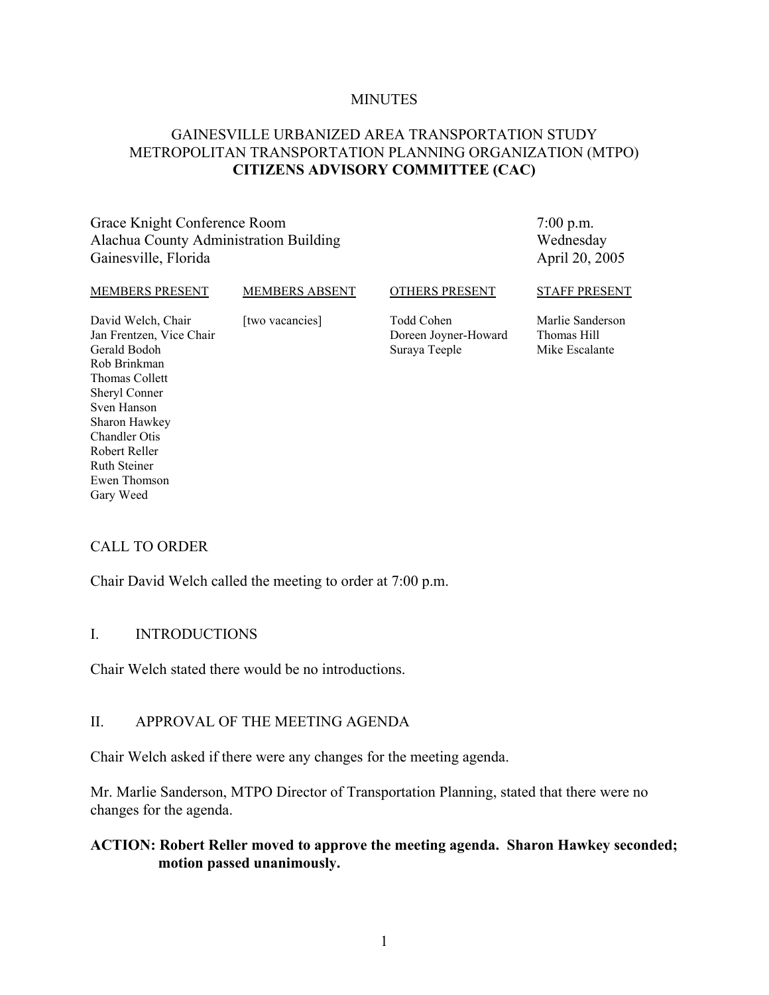#### **MINUTES**

# GAINESVILLE URBANIZED AREA TRANSPORTATION STUDY METROPOLITAN TRANSPORTATION PLANNING ORGANIZATION (MTPO) **CITIZENS ADVISORY COMMITTEE (CAC)**

Grace Knight Conference Room Alachua County Administration Building Gainesville, Florida

7:00 p.m. Wednesday April 20, 2005

#### MEMBERS PRESENT

#### MEMBERS ABSENT

[two vacancies]

#### OTHERS PRESENT

David Welch, Chair Jan Frentzen, Vice Chair Gerald Bodoh Rob Brinkman Thomas Collett Sheryl Conner Sven Hanson Sharon Hawkey Chandler Otis Robert Reller Ruth Steiner Ewen Thomson Gary Weed

Todd Cohen Doreen Joyner-Howard Suraya Teeple

Marlie Sanderson Thomas Hill Mike Escalante

STAFF PRESENT

# CALL TO ORDER

Chair David Welch called the meeting to order at 7:00 p.m.

#### I. INTRODUCTIONS

Chair Welch stated there would be no introductions.

#### II. APPROVAL OF THE MEETING AGENDA

Chair Welch asked if there were any changes for the meeting agenda.

Mr. Marlie Sanderson, MTPO Director of Transportation Planning, stated that there were no changes for the agenda.

## **ACTION: Robert Reller moved to approve the meeting agenda. Sharon Hawkey seconded; motion passed unanimously.**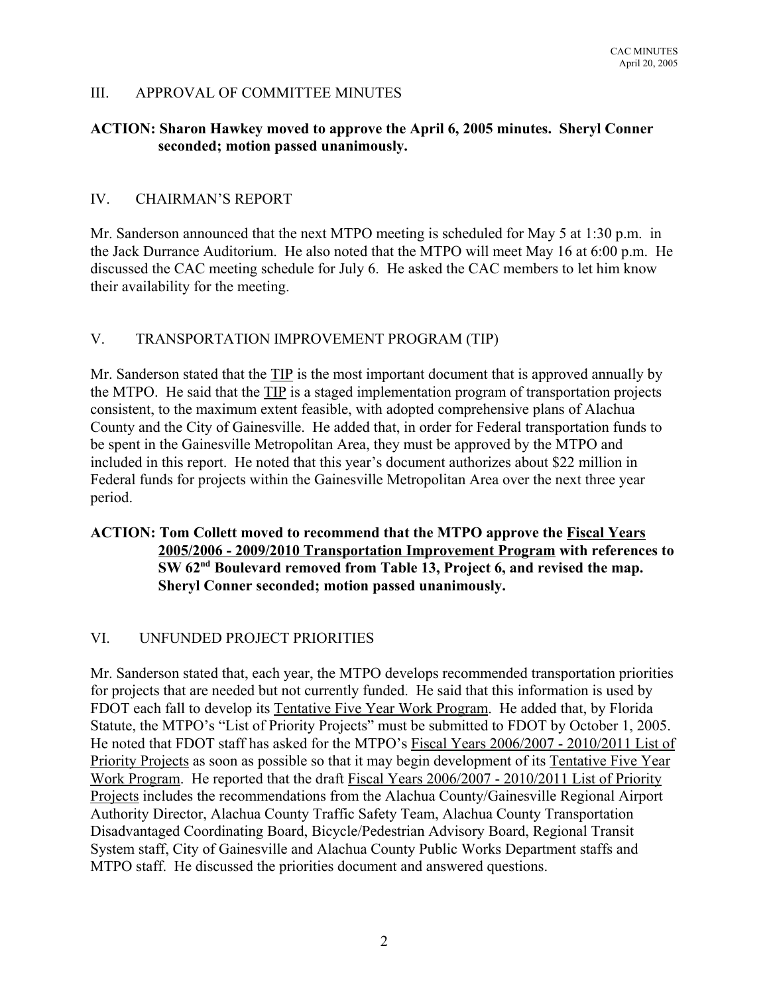# III. APPROVAL OF COMMITTEE MINUTES

# **ACTION: Sharon Hawkey moved to approve the April 6, 2005 minutes. Sheryl Conner seconded; motion passed unanimously.**

# IV. CHAIRMAN'S REPORT

Mr. Sanderson announced that the next MTPO meeting is scheduled for May 5 at 1:30 p.m. in the Jack Durrance Auditorium. He also noted that the MTPO will meet May 16 at 6:00 p.m. He discussed the CAC meeting schedule for July 6. He asked the CAC members to let him know their availability for the meeting.

## V. TRANSPORTATION IMPROVEMENT PROGRAM (TIP)

Mr. Sanderson stated that the TIP is the most important document that is approved annually by the MTPO. He said that the TIP is a staged implementation program of transportation projects consistent, to the maximum extent feasible, with adopted comprehensive plans of Alachua County and the City of Gainesville. He added that, in order for Federal transportation funds to be spent in the Gainesville Metropolitan Area, they must be approved by the MTPO and included in this report. He noted that this year's document authorizes about \$22 million in Federal funds for projects within the Gainesville Metropolitan Area over the next three year period.

# **ACTION: Tom Collett moved to recommend that the MTPO approve the Fiscal Years 2005/2006 - 2009/2010 Transportation Improvement Program with references to SW 62nd Boulevard removed from Table 13, Project 6, and revised the map. Sheryl Conner seconded; motion passed unanimously.**

# VI. UNFUNDED PROJECT PRIORITIES

Mr. Sanderson stated that, each year, the MTPO develops recommended transportation priorities for projects that are needed but not currently funded. He said that this information is used by FDOT each fall to develop its Tentative Five Year Work Program. He added that, by Florida Statute, the MTPO's "List of Priority Projects" must be submitted to FDOT by October 1, 2005. He noted that FDOT staff has asked for the MTPO's Fiscal Years 2006/2007 - 2010/2011 List of Priority Projects as soon as possible so that it may begin development of its Tentative Five Year Work Program. He reported that the draft Fiscal Years 2006/2007 - 2010/2011 List of Priority Projects includes the recommendations from the Alachua County/Gainesville Regional Airport Authority Director, Alachua County Traffic Safety Team, Alachua County Transportation Disadvantaged Coordinating Board, Bicycle/Pedestrian Advisory Board, Regional Transit System staff, City of Gainesville and Alachua County Public Works Department staffs and MTPO staff. He discussed the priorities document and answered questions.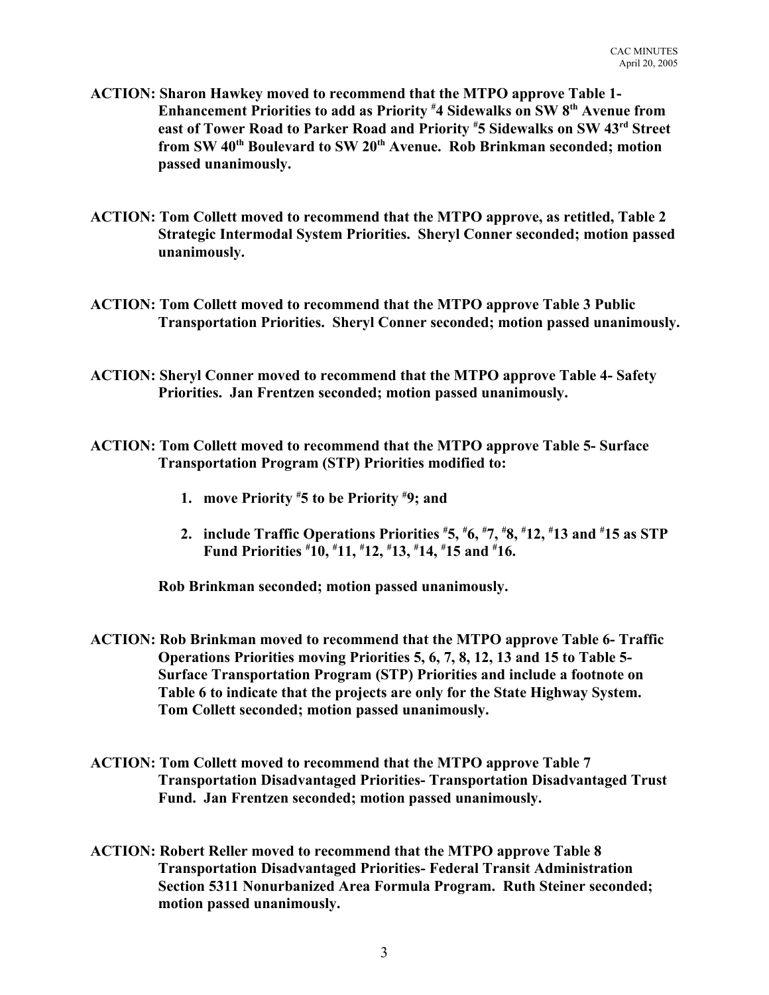- **ACTION: Sharon Hawkey moved to recommend that the MTPO approve Table 1- Enhancement Priorities to add as Priority # 4 Sidewalks on SW 8th Avenue from east of Tower Road to Parker Road and Priority # 5 Sidewalks on SW 43rd Street** from SW 40<sup>th</sup> Boulevard to SW 20<sup>th</sup> Avenue. Rob Brinkman seconded; motion **passed unanimously.**
- **ACTION: Tom Collett moved to recommend that the MTPO approve, as retitled, Table 2 Strategic Intermodal System Priorities. Sheryl Conner seconded; motion passed unanimously.**
- **ACTION: Tom Collett moved to recommend that the MTPO approve Table 3 Public Transportation Priorities. Sheryl Conner seconded; motion passed unanimously.**
- **ACTION: Sheryl Conner moved to recommend that the MTPO approve Table 4- Safety Priorities. Jan Frentzen seconded; motion passed unanimously.**
- **ACTION: Tom Collett moved to recommend that the MTPO approve Table 5- Surface Transportation Program (STP) Priorities modified to:**
	- **1. move Priority # 5 to be Priority # 9; and**
	- **2. include Traffic Operations Priorities # 5, # 6, # 7, # 8, # 12, # 13 and # 15 as STP Fund Priorities # 10, # 11, # 12, # 13, # 14, # 15 and # 16.**

**Rob Brinkman seconded; motion passed unanimously.**

- **ACTION: Rob Brinkman moved to recommend that the MTPO approve Table 6- Traffic Operations Priorities moving Priorities 5, 6, 7, 8, 12, 13 and 15 to Table 5- Surface Transportation Program (STP) Priorities and include a footnote on Table 6 to indicate that the projects are only for the State Highway System. Tom Collett seconded; motion passed unanimously.**
- **ACTION: Tom Collett moved to recommend that the MTPO approve Table 7 Transportation Disadvantaged Priorities- Transportation Disadvantaged Trust Fund. Jan Frentzen seconded; motion passed unanimously.**
- **ACTION: Robert Reller moved to recommend that the MTPO approve Table 8 Transportation Disadvantaged Priorities- Federal Transit Administration Section 5311 Nonurbanized Area Formula Program. Ruth Steiner seconded; motion passed unanimously.**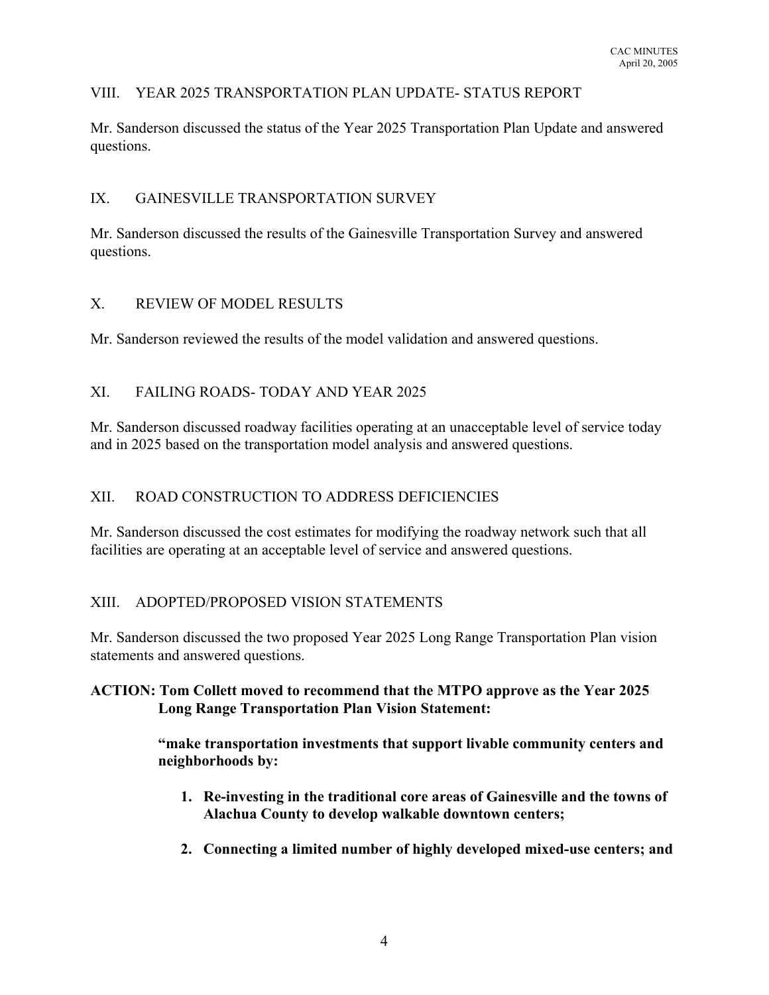# VIII. YEAR 2025 TRANSPORTATION PLAN UPDATE- STATUS REPORT

Mr. Sanderson discussed the status of the Year 2025 Transportation Plan Update and answered questions.

# IX. GAINESVILLE TRANSPORTATION SURVEY

Mr. Sanderson discussed the results of the Gainesville Transportation Survey and answered questions.

# X. REVIEW OF MODEL RESULTS

Mr. Sanderson reviewed the results of the model validation and answered questions.

# XI. FAILING ROADS- TODAY AND YEAR 2025

Mr. Sanderson discussed roadway facilities operating at an unacceptable level of service today and in 2025 based on the transportation model analysis and answered questions.

# XII. ROAD CONSTRUCTION TO ADDRESS DEFICIENCIES

Mr. Sanderson discussed the cost estimates for modifying the roadway network such that all facilities are operating at an acceptable level of service and answered questions.

# XIII. ADOPTED/PROPOSED VISION STATEMENTS

Mr. Sanderson discussed the two proposed Year 2025 Long Range Transportation Plan vision statements and answered questions.

# **ACTION: Tom Collett moved to recommend that the MTPO approve as the Year 2025 Long Range Transportation Plan Vision Statement:**

**"make transportation investments that support livable community centers and neighborhoods by:**

- **1. Re-investing in the traditional core areas of Gainesville and the towns of Alachua County to develop walkable downtown centers;**
- **2. Connecting a limited number of highly developed mixed-use centers; and**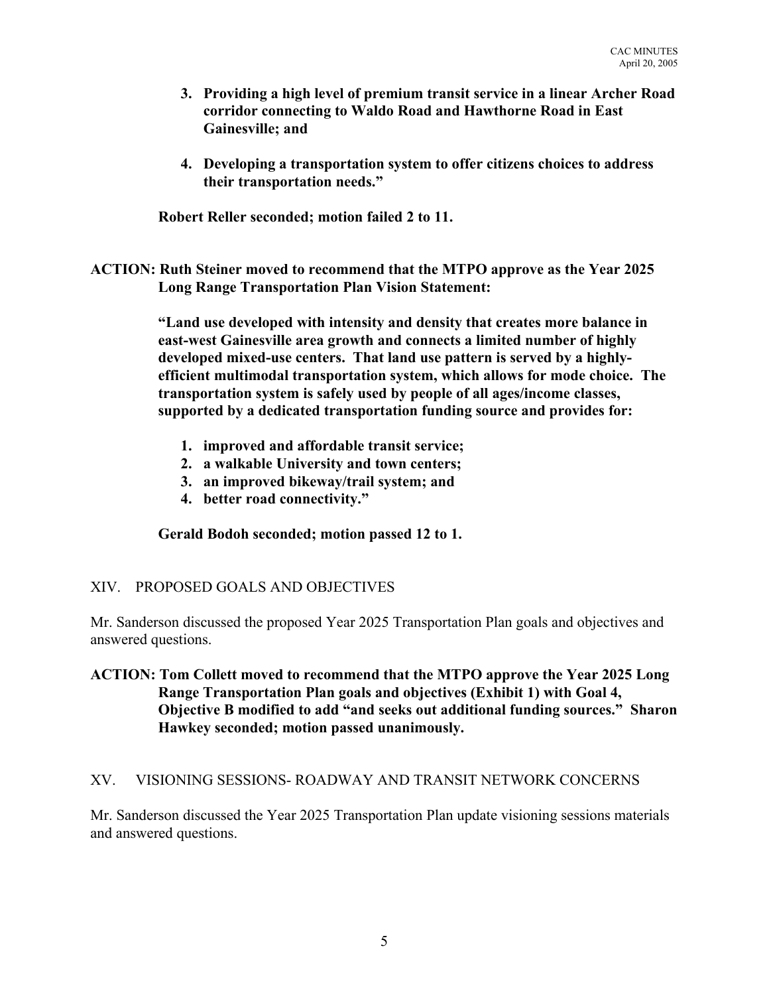- **3. Providing a high level of premium transit service in a linear Archer Road corridor connecting to Waldo Road and Hawthorne Road in East Gainesville; and**
- **4. Developing a transportation system to offer citizens choices to address their transportation needs."**

**Robert Reller seconded; motion failed 2 to 11.**

**ACTION: Ruth Steiner moved to recommend that the MTPO approve as the Year 2025 Long Range Transportation Plan Vision Statement:**

> **"Land use developed with intensity and density that creates more balance in east-west Gainesville area growth and connects a limited number of highly developed mixed-use centers. That land use pattern is served by a highlyefficient multimodal transportation system, which allows for mode choice. The transportation system is safely used by people of all ages/income classes, supported by a dedicated transportation funding source and provides for:**

- **1. improved and affordable transit service;**
- **2. a walkable University and town centers;**
- **3. an improved bikeway/trail system; and**
- **4. better road connectivity."**

**Gerald Bodoh seconded; motion passed 12 to 1.**

# XIV. PROPOSED GOALS AND OBJECTIVES

Mr. Sanderson discussed the proposed Year 2025 Transportation Plan goals and objectives and answered questions.

**ACTION: Tom Collett moved to recommend that the MTPO approve the Year 2025 Long Range Transportation Plan goals and objectives (Exhibit 1) with Goal 4, Objective B modified to add "and seeks out additional funding sources." Sharon Hawkey seconded; motion passed unanimously.**

# XV. VISIONING SESSIONS- ROADWAY AND TRANSIT NETWORK CONCERNS

Mr. Sanderson discussed the Year 2025 Transportation Plan update visioning sessions materials and answered questions.